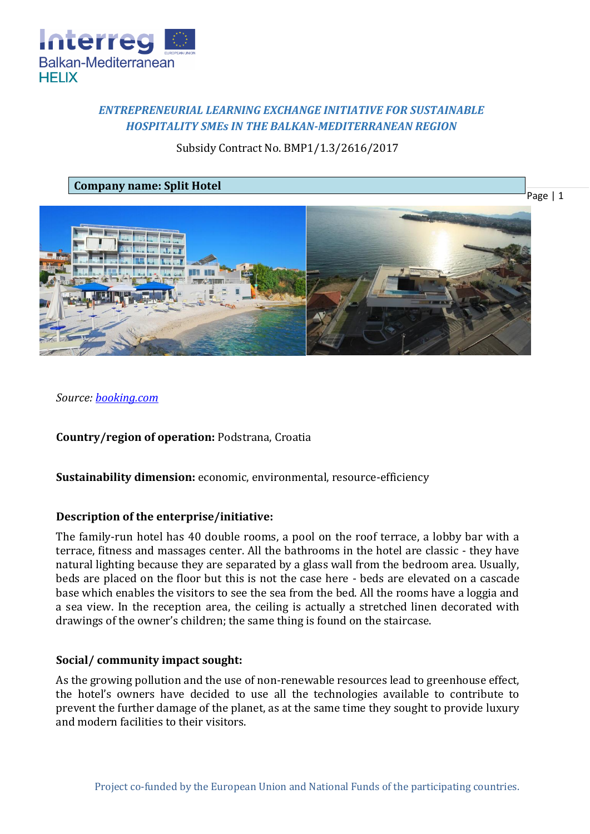

# *ENTREPRENEURIAL LEARNING EXCHANGE INITIATIVE FOR SUSTAINABLE HOSPITALITY SMEs IN THE BALKAN-MEDITERRANEAN REGION*

# Subsidy Contract No. BMP1/1.3/2616/2017

## **Company name: Split Hotel**

Page | 1



*Source: [booking.com](https://www.booking.com/hotel/hr/split.en-gb.html?aid=311984;label=split-%2A05fQPL%2AHUuPvk0L03TJmQS162176437391%3Apl%3Ata%3Ap1%3Ap2%3Aac%3Aap1t1%3Aneg%3Afi%3Atikwd-24812727263%3Alp1001453%3Ali%3Adec%3Adm;sid=897dd9cd2f581698ad82b834c693780a;all_sr_blocks=33272601_89080668_0_1_0;bshb=2;checkin=2018-02-10;checkout=2018-02-11;dest_id=-92454;dest_type=city;dist=0;hapos=1;highlighted_blocks=33272601_89080668_0_1_0;hpos=1;room1=A%2CA;sb_price_type=total;srepoch=1518169517;srfid=4157607b422ef8c2ff6283474c27d82db641c1acX1;srpvid=80f44495ee2e04d9;type=total;ucfs=1&#hotelTmpl)*

**Country/region of operation:** Podstrana, Croatia

**Sustainability dimension:** economic, environmental, resource-efficiency

## **Description of the enterprise/initiative:**

The family-run hotel has 40 double rooms, a pool on the roof terrace, a lobby bar with a terrace, fitness and massages center. All the bathrooms in the hotel are classic - they have natural lighting because they are separated by a glass wall from the bedroom area. Usually, beds are placed on the floor but this is not the case here - beds are elevated on a cascade base which enables the visitors to see the sea from the bed. All the rooms have a loggia and a sea view. In the reception area, the ceiling is actually a stretched linen decorated with drawings of the owner's children; the same thing is found on the staircase.

#### **Social/ community impact sought:**

As the growing pollution and the use of non-renewable resources lead to greenhouse effect, the hotel's owners have decided to use all the technologies available to contribute to prevent the further damage of the planet, as at the same time they sought to provide luxury and modern facilities to their visitors.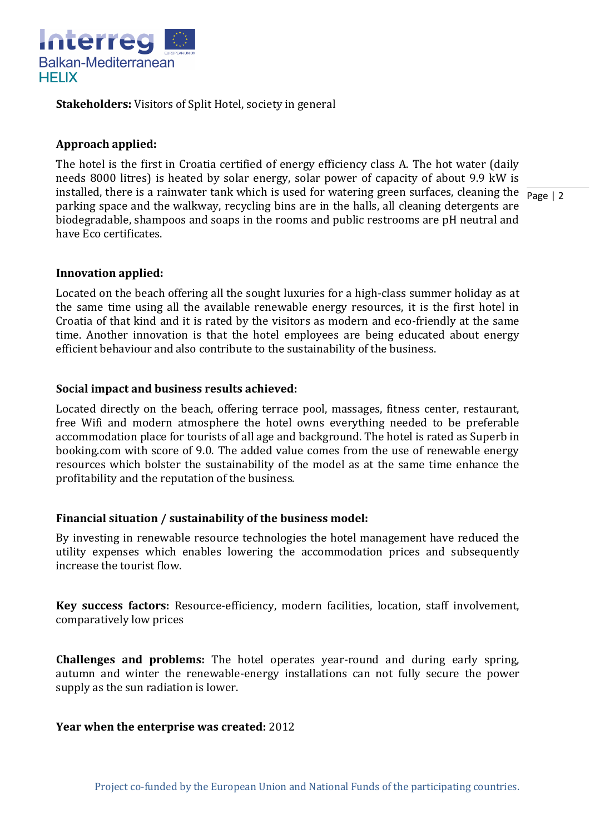

**Stakeholders:** Visitors of Split Hotel, society in general

## **Approach applied:**

installed, there is a rainwater tank which is used for watering green surfaces, cleaning the  $\frac{1}{\text{Page } |2}$ The hotel is the first in Croatia certified of energy efficiency class A. The hot water (daily needs 8000 litres) is heated by solar energy, solar power of capacity of about 9.9 kW is parking space and the walkway, recycling bins are in the halls, all cleaning detergents are biodegradable, shampoos and soaps in the rooms and public restrooms are pH neutral and have Eco certificates.

### **Innovation applied:**

Located on the beach offering all the sought luxuries for a high-class summer holiday as at the same time using all the available renewable energy resources, it is the first hotel in Croatia of that kind and it is rated by the visitors as modern and eco-friendly at the same time. Another innovation is that the hotel employees are being educated about energy efficient behaviour and also contribute to the sustainability of the business.

### **Social impact and business results achieved:**

Located directly on the beach, offering terrace pool, massages, fitness center, restaurant, free Wifi and modern atmosphere the hotel owns everything needed to be preferable accommodation place for tourists of all age and background. The hotel is rated as Superb in booking.com with score of 9.0. The added value comes from the use of renewable energy resources which bolster the sustainability of the model as at the same time enhance the profitability and the reputation of the business.

## **Financial situation / sustainability of the business model:**

By investing in renewable resource technologies the hotel management have reduced the utility expenses which enables lowering the accommodation prices and subsequently increase the tourist flow.

**Key success factors:** Resource-efficiency, modern facilities, location, staff involvement, comparatively low prices

**Challenges and problems:** The hotel operates year-round and during early spring, autumn and winter the renewable-energy installations can not fully secure the power supply as the sun radiation is lower.

#### **Year when the enterprise was created:** 2012